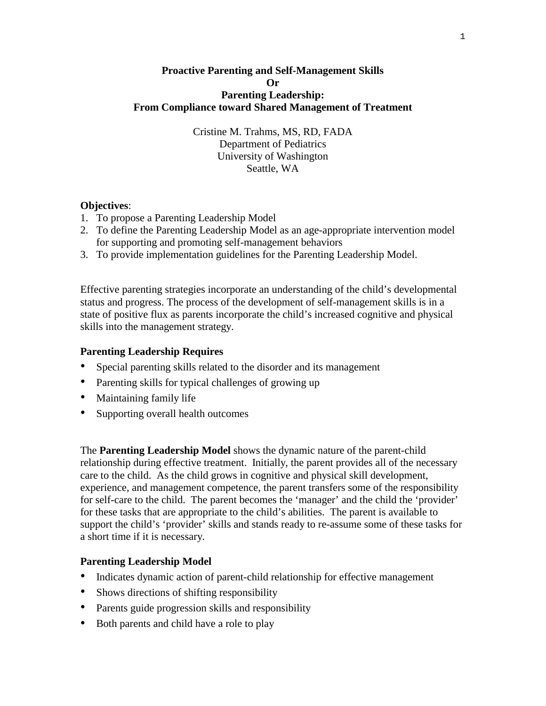#### **Proactive Parenting and Self-Management Skills Or Parenting Leadership: From Compliance toward Shared Management of Treatment**

Cristine M. Trahms, MS, RD, FADA Department of Pediatrics University of Washington Seattle, WA

#### **Objectives**:

- 1. To propose a Parenting Leadership Model
- 2. To define the Parenting Leadership Model as an age-appropriate intervention model for supporting and promoting self-management behaviors
- 3. To provide implementation guidelines for the Parenting Leadership Model.

Effective parenting strategies incorporate an understanding of the child's developmental status and progress. The process of the development of self-management skills is in a state of positive flux as parents incorporate the child's increased cognitive and physical skills into the management strategy.

#### **Parenting Leadership Requires**

- Special parenting skills related to the disorder and its management
- Parenting skills for typical challenges of growing up
- Maintaining family life
- Supporting overall health outcomes

The **Parenting Leadership Model** shows the dynamic nature of the parent-child relationship during effective treatment. Initially, the parent provides all of the necessary care to the child. As the child grows in cognitive and physical skill development, experience, and management competence, the parent transfers some of the responsibility for self-care to the child. The parent becomes the 'manager' and the child the 'provider' for these tasks that are appropriate to the child's abilities. The parent is available to support the child's 'provider' skills and stands ready to re-assume some of these tasks for a short time if it is necessary.

#### **Parenting Leadership Model**

- Indicates dynamic action of parent-child relationship for effective management
- Shows directions of shifting responsibility
- Parents guide progression skills and responsibility
- Both parents and child have a role to play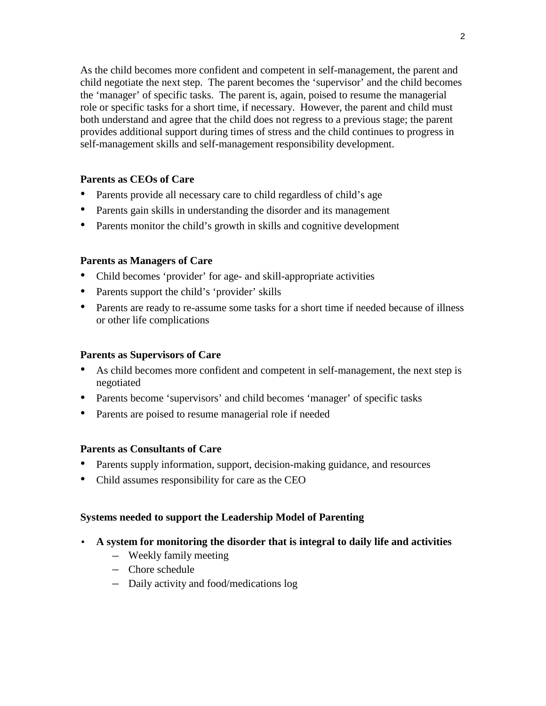2

As the child becomes more confident and competent in self-management, the parent and child negotiate the next step. The parent becomes the 'supervisor' and the child becomes the 'manager' of specific tasks. The parent is, again, poised to resume the managerial role or specific tasks for a short time, if necessary. However, the parent and child must both understand and agree that the child does not regress to a previous stage; the parent provides additional support during times of stress and the child continues to progress in self-management skills and self-management responsibility development.

# **Parents as CEOs of Care**

- Parents provide all necessary care to child regardless of child's age
- Parents gain skills in understanding the disorder and its management
- Parents monitor the child's growth in skills and cognitive development

## **Parents as Managers of Care**

- Child becomes 'provider' for age- and skill-appropriate activities
- Parents support the child's 'provider' skills
- Parents are ready to re-assume some tasks for a short time if needed because of illness or other life complications

### **Parents as Supervisors of Care**

- As child becomes more confident and competent in self-management, the next step is negotiated
- Parents become 'supervisors' and child becomes 'manager' of specific tasks
- Parents are poised to resume managerial role if needed

# **Parents as Consultants of Care**

- Parents supply information, support, decision-making guidance, and resources
- Child assumes responsibility for care as the CEO

# **Systems needed to support the Leadership Model of Parenting**

- **A system for monitoring the disorder that is integral to daily life and activities** 
	- Weekly family meeting
	- Chore schedule
	- Daily activity and food/medications log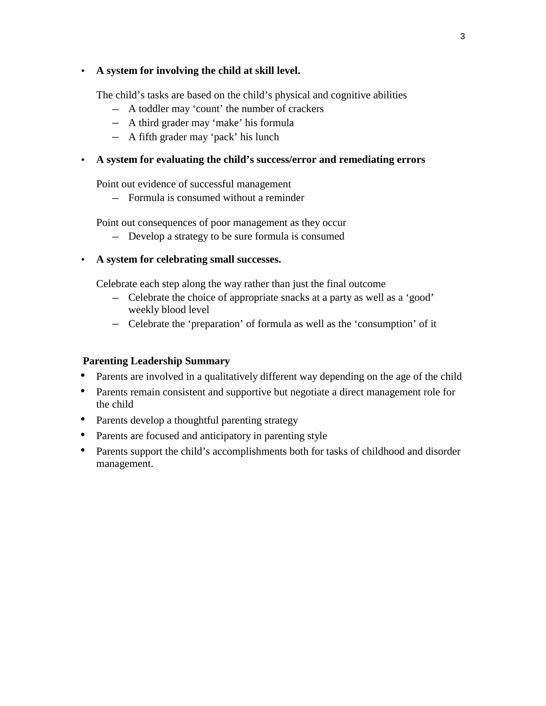### • **A system for involving the child at skill level.**

The child's tasks are based on the child's physical and cognitive abilities

- A toddler may 'count' the number of crackers
- A third grader may 'make' his formula
- A fifth grader may 'pack' his lunch

### • **A system for evaluating the child's success/error and remediating errors**

Point out evidence of successful management

– Formula is consumed without a reminder

Point out consequences of poor management as they occur

- Develop a strategy to be sure formula is consumed
- **A system for celebrating small successes.**

Celebrate each step along the way rather than just the final outcome

- Celebrate the choice of appropriate snacks at a party as well as a 'good' weekly blood level
- Celebrate the 'preparation' of formula as well as the 'consumption' of it

# **Parenting Leadership Summary**

- Parents are involved in a qualitatively different way depending on the age of the child
- Parents remain consistent and supportive but negotiate a direct management role for the child
- Parents develop a thoughtful parenting strategy
- Parents are focused and anticipatory in parenting style
- Parents support the child's accomplishments both for tasks of childhood and disorder management.